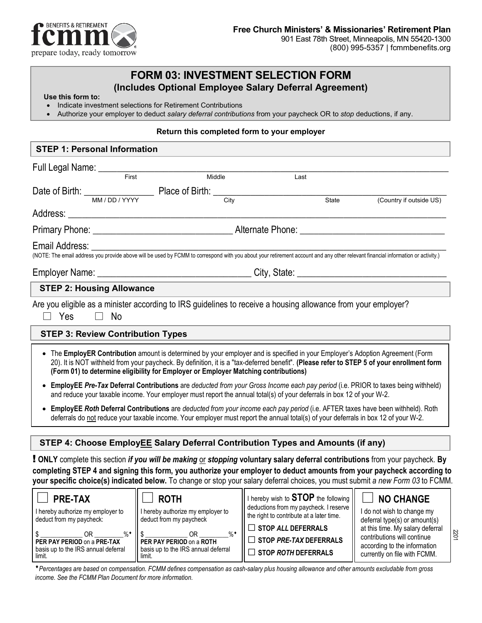

# **FORM 03: INVESTMENT SELECTION FORM (Includes Optional Employee Salary Deferral Agreement) Use this form to:**

limit.

**PER PAY PERIOD** on a **PRE-TAX** basis up to the IRS annual deferral

\$ \_\_\_\_\_\_\_\_\_\_\_\_\_ OR \_\_\_\_\_\_\_\_\_%♦ **PER PAY PERIOD** on a **PRE-TAX**

- Indicate investment selections for Retirement Contributions
- Authorize your employer to deduct *salary deferral contributions* from your paycheck OR to *stop* deductions, if any.

#### **Return this completed form to your employer**

| <b>STEP 1: Personal Information</b>                                             |  |                                                                                                                                                                                                                                                                                                                                                                                                                                                                     |                                                                                                                                                                                                                                                                                                                                                                                                                                          |                                                                                                                     |  |
|---------------------------------------------------------------------------------|--|---------------------------------------------------------------------------------------------------------------------------------------------------------------------------------------------------------------------------------------------------------------------------------------------------------------------------------------------------------------------------------------------------------------------------------------------------------------------|------------------------------------------------------------------------------------------------------------------------------------------------------------------------------------------------------------------------------------------------------------------------------------------------------------------------------------------------------------------------------------------------------------------------------------------|---------------------------------------------------------------------------------------------------------------------|--|
| Full Legal Name: First                                                          |  |                                                                                                                                                                                                                                                                                                                                                                                                                                                                     |                                                                                                                                                                                                                                                                                                                                                                                                                                          |                                                                                                                     |  |
|                                                                                 |  | Middle                                                                                                                                                                                                                                                                                                                                                                                                                                                              | Last                                                                                                                                                                                                                                                                                                                                                                                                                                     |                                                                                                                     |  |
|                                                                                 |  | City                                                                                                                                                                                                                                                                                                                                                                                                                                                                | State                                                                                                                                                                                                                                                                                                                                                                                                                                    | (Country if outside US)                                                                                             |  |
|                                                                                 |  |                                                                                                                                                                                                                                                                                                                                                                                                                                                                     |                                                                                                                                                                                                                                                                                                                                                                                                                                          |                                                                                                                     |  |
|                                                                                 |  |                                                                                                                                                                                                                                                                                                                                                                                                                                                                     |                                                                                                                                                                                                                                                                                                                                                                                                                                          |                                                                                                                     |  |
| Email Address:                                                                  |  |                                                                                                                                                                                                                                                                                                                                                                                                                                                                     |                                                                                                                                                                                                                                                                                                                                                                                                                                          |                                                                                                                     |  |
|                                                                                 |  |                                                                                                                                                                                                                                                                                                                                                                                                                                                                     |                                                                                                                                                                                                                                                                                                                                                                                                                                          |                                                                                                                     |  |
| <b>STEP 2: Housing Allowance</b>                                                |  |                                                                                                                                                                                                                                                                                                                                                                                                                                                                     |                                                                                                                                                                                                                                                                                                                                                                                                                                          |                                                                                                                     |  |
| Yes<br>$\Box$<br>No<br>$\Box$                                                   |  |                                                                                                                                                                                                                                                                                                                                                                                                                                                                     | Are you eligible as a minister according to IRS guidelines to receive a housing allowance from your employer?                                                                                                                                                                                                                                                                                                                            |                                                                                                                     |  |
| <b>STEP 3: Review Contribution Types</b>                                        |  |                                                                                                                                                                                                                                                                                                                                                                                                                                                                     |                                                                                                                                                                                                                                                                                                                                                                                                                                          |                                                                                                                     |  |
|                                                                                 |  | (Form 01) to determine eligibility for Employer or Employer Matching contributions)                                                                                                                                                                                                                                                                                                                                                                                 | • The EmployER Contribution amount is determined by your employer and is specified in your Employer's Adoption Agreement (Form<br>20). It is NOT withheld from your paycheck. By definition, it is a "tax-deferred benefit". (Please refer to STEP 5 of your enrollment form                                                                                                                                                             |                                                                                                                     |  |
|                                                                                 |  |                                                                                                                                                                                                                                                                                                                                                                                                                                                                     | • EmployEE Pre-Tax Deferral Contributions are deducted from your Gross Income each pay period (i.e. PRIOR to taxes being withheld)<br>and reduce your taxable income. Your employer must report the annual total(s) of your deferrals in box 12 of your W-2.                                                                                                                                                                             |                                                                                                                     |  |
|                                                                                 |  |                                                                                                                                                                                                                                                                                                                                                                                                                                                                     | • EmployEE Roth Deferral Contributions are deducted from your income each pay period (i.e. AFTER taxes have been withheld). Roth<br>deferrals do not reduce your taxable income. Your employer must report the annual total(s) of your deferrals in box 12 of your W-2.                                                                                                                                                                  |                                                                                                                     |  |
|                                                                                 |  |                                                                                                                                                                                                                                                                                                                                                                                                                                                                     | STEP 4: Choose EmployEE Salary Deferral Contribution Types and Amounts (if any)                                                                                                                                                                                                                                                                                                                                                          |                                                                                                                     |  |
|                                                                                 |  |                                                                                                                                                                                                                                                                                                                                                                                                                                                                     | <b>!</b> ONLY complete this section <i>if you will be making <math>\underline{\text{or}}</math> stopping</i> voluntary salary deferral contributions from your paycheck. By<br>completing STEP 4 and signing this form, you authorize your employer to deduct amounts from your paycheck according to<br>your specific choice(s) indicated below. To change or stop your salary deferral choices, you must submit a new Form 03 to FCMM. |                                                                                                                     |  |
| <b>PRE-TAX</b><br>I hereby authorize my employer to<br>deduct from my paycheck: |  | <b>ROTH</b><br>I hereby authorize my employer to<br>deduct from my paycheck<br>$\overline{O}$ $\overline{O}$ $\overline{O}$ $\overline{O}$ $\overline{O}$ $\overline{O}$ $\overline{O}$ $\overline{O}$ $\overline{O}$ $\overline{O}$ $\overline{O}$ $\overline{O}$ $\overline{O}$ $\overline{O}$ $\overline{O}$ $\overline{O}$ $\overline{O}$ $\overline{O}$ $\overline{O}$ $\overline{O}$ $\overline{O}$ $\overline{O}$ $\overline{O}$ $\overline{O}$ $\overline{$ | I hereby wish to <b>STOP</b> the following<br>deductions from my paycheck. I reserve<br>the right to contribute at a later time.<br>$\Box$ STOP ALL DEFERRALS                                                                                                                                                                                                                                                                            | <b>NO CHANGE</b><br>I do not wish to change my<br>deferral type(s) or amount(s)<br>at this time. My salary deferral |  |

♦*Percentages are based on compensation. FCMM defines compensation as cash-salary plus housing allowance and other amounts excludable from gross income. See the FCMM Plan Document for more information.*

\$ \_\_\_\_\_\_\_\_\_\_\_\_\_ OR \_\_\_\_\_\_\_\_\_%♦ **PER PAY PERIOD** on a **ROTH** basis up to the IRS annual deferral

limit.

□ **STOP** *PRE-TAX* **DEFERRALS**  □ **STOP** *ROTH* **DEFERRALS**

contributions will continue according to the information currently on file with FCMM.

2201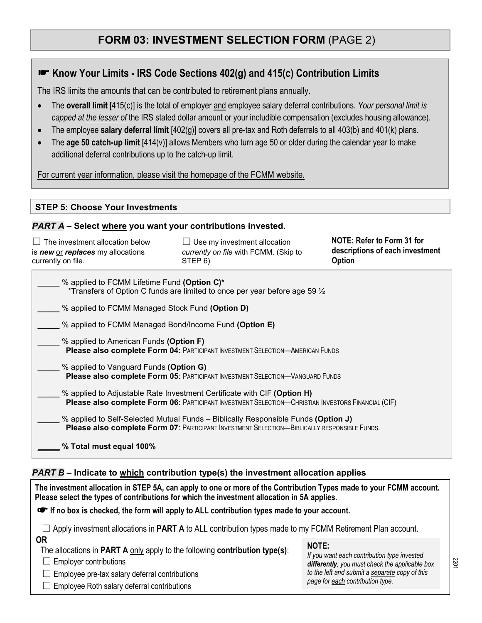## **FORM 03: INVESTMENT SELECTION FORM** (PAGE 2)

## ☛ **Know Your Limits - IRS Code Sections 402(g) and 415(c) Contribution Limits**

The IRS limits the amounts that can be contributed to retirement plans annually.

- The **overall limit** [415(c)] is the total of employer and employee salary deferral contributions. *Your personal limit is capped at the lesser of* the IRS stated dollar amount or your includible compensation (excludes housing allowance).
- The employee **salary deferral limit** [402(g)] covers all pre-tax and Roth deferrals to all 403(b) and 401(k) plans.
- The **age 50 catch-up limit** [414(v)] allows Members who turn age 50 or older during the calendar year to make additional deferral contributions up to the catch-up limit.

For current year information, please visit the homepage of the FCMM website.

#### **STEP 5: Choose Your Investments**

#### *PART A* **– Select where you want your contributions invested.**

| $\Box$ The investment allocation below<br>is new or replaces my allocations<br>currently on file. | $\Box$ Use my investment allocation<br>currently on file with FCMM. (Skip to<br>STEP 6) | NOTE: Refer to Form 31 for<br>descriptions of each investment<br>Option |
|---------------------------------------------------------------------------------------------------|-----------------------------------------------------------------------------------------|-------------------------------------------------------------------------|
| % applied to FCMM Lifetime Fund (Option C)*                                                       | *Transfers of Option C funds are limited to once per year before age 59 $\frac{1}{2}$   |                                                                         |
| % applied to FCMM Managed Stock Fund (Option D)                                                   |                                                                                         |                                                                         |
|                                                                                                   | % applied to FCMM Managed Bond/Income Fund (Option E)                                   |                                                                         |
| % applied to American Funds (Option F)                                                            | Please also complete Form 04: PARTICIPANT INVESTMENT SELECTION-AMERICAN FUNDS           |                                                                         |
| % applied to Vanguard Funds (Option G)                                                            | <b>Please also complete Form 05: PARTICIPANT INVESTMENT SELECTION—VANGUARD FUNDS</b>    |                                                                         |

**\_\_\_\_\_** % applied to Adjustable Rate Investment Certificate with CIF **(Option H) Please also complete Form 06: PARTICIPANT INVESTMENT SELECTION—CHRISTIAN INVESTORS FINANCIAL (CIF)** 

**\_\_\_\_\_** % applied to Self-Selected Mutual Funds – Biblically Responsible Funds **(Option J) Please also complete Form 07**: PARTICIPANT INVESTMENT SELECTION—BIBLICALLY RESPONSIBLE FUNDS.

**\_\_\_\_\_ % Total must equal 100%**

#### *PART B* **– Indicate to which contribution type(s) the investment allocation applies**

| The investment allocation in STEP 5A, can apply to one or more of the Contribution Types made to your FCMM account.<br>Please select the types of contributions for which the investment allocation in 5A applies.                                                                                                                                                          |                                                                                                                                                                                                     |  |  |  |  |
|-----------------------------------------------------------------------------------------------------------------------------------------------------------------------------------------------------------------------------------------------------------------------------------------------------------------------------------------------------------------------------|-----------------------------------------------------------------------------------------------------------------------------------------------------------------------------------------------------|--|--|--|--|
| If no box is checked, the form will apply to ALL contribution types made to your account.                                                                                                                                                                                                                                                                                   |                                                                                                                                                                                                     |  |  |  |  |
| $\Box$ Apply investment allocations in <b>PART A</b> to ALL contribution types made to my FCMM Retirement Plan account.<br><b>OR</b><br>The allocations in <b>PART A</b> only apply to the following <b>contribution type(s)</b> :<br>$\Box$ Employer contributions<br>$\Box$ Employee pre-tax salary deferral contributions<br>Employee Roth salary deferral contributions | <b>NOTE:</b><br>If you want each contribution type invested<br>differently, you must check the applicable box<br>to the left and submit a separate copy of this<br>page for each contribution type. |  |  |  |  |